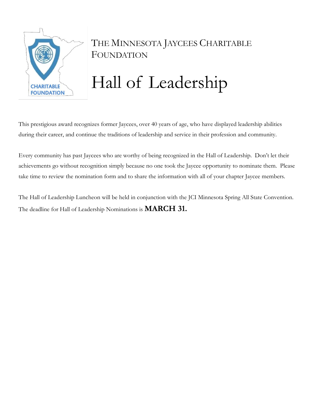

# THE MINNESOTA JAYCEES CHARITABLE FOUNDATION

# Hall of Leadership

This prestigious award recognizes former Jaycees, over 40 years of age, who have displayed leadership abilities during their career, and continue the traditions of leadership and service in their profession and community.

Every community has past Jaycees who are worthy of being recognized in the Hall of Leadership. Don't let their achievements go without recognition simply because no one took the Jaycee opportunity to nominate them. Please take time to review the nomination form and to share the information with all of your chapter Jaycee members.

The Hall of Leadership Luncheon will be held in conjunction with the JCI Minnesota Spring All State Convention. The deadline for Hall of Leadership Nominations is **MARCH 31.**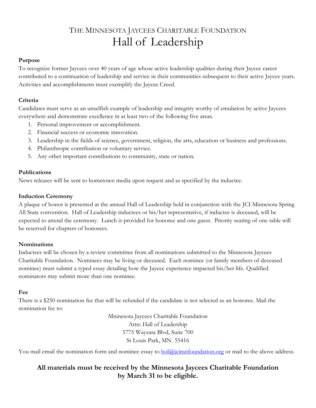# THE MINNESOTA JAYCEES CHARITABLE FOUNDATION Hall of Leadership

#### **Purpose**

To recognize former Jaycees over 40 years of age whose active leadership qualities during their Jaycee career contributed to a continuation of leadership and service in their communities subsequent to their active Jaycee years. Activities and accomplishments must exemplify the Jaycee Creed.

#### **Criteria**

Candidates must serve as an unselfish example of leadership and integrity worthy of emulation by active Jaycees everywhere and demonstrate excellence in at least two of the following five areas.

- 1. Personal improvement or accomplishment.
- 2. Financial success or economic innovation.
- 3. Leadership in the fields of science, government, religion, the arts, education or business and professions.
- 4. Philanthropic contribution or voluntary service.
- 5. Any other important contributions to community, state or nation.

#### **Publications**

News releases will be sent to hometown media upon request and as specified by the inductee.

#### **Induction Ceremony**

A plaque of honor is presented at the annual Hall of Leadership held in conjunction with the JCI Minnesota Spring All State convention. Hall of Leadership inductees or his/her representative, if inductee is deceased, will be expected to attend the ceremony. Lunch is provided for honoree and one guest. Priority seating of one table will be reserved for chapters of honorees.

#### **Nominations**

Inductees will be chosen by a review committee from all nominations submitted to the Minnesota Jaycees Charitable Foundation. Nominees may be living or deceased. Each nominee (or family members of deceased nominee) must submit a typed essay detailing how the Jaycee experience impacted his/her life. Qualified nominators may submit more than one nominee.

#### **Fee**

There is a \$250 nomination fee that will be refunded if the candidate is not selected as an honoree. Mail the nomination fee to:

> Minnesota Jaycees Charitable Foundation Attn: Hall of Leadership 5775 Wayzata Blvd, Suite 700 St Louis Park, MN 55416

You mail email the nomination form and nominee essay to **hol@jcimnfoundation.org** or mail to the above address.

## **All materials must be received by the Minnesota Jaycees Charitable Foundation by March 31 to be eligible.**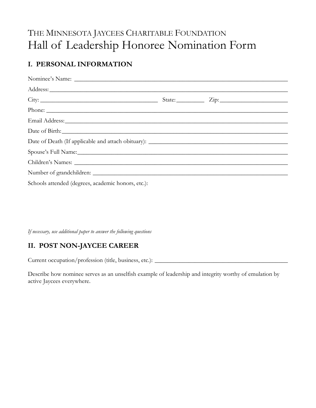# THE MINNESOTA JAYCEES CHARITABLE FOUNDATION Hall of Leadership Honoree Nomination Form

# I. PERSONAL INFORMATION

| Schools attended (degrees, academic honors, etc.): |  |
|----------------------------------------------------|--|

If necessary, use additional paper to answer the following questions

## II. POST NON-JAYCEE CAREER

Current occupation/profession (title, business, etc.): \_\_\_\_\_\_\_\_\_\_\_\_\_\_\_\_\_\_\_\_\_\_\_\_\_\_\_\_\_\_\_\_\_\_\_\_\_\_\_\_\_\_\_

Describe how nominee serves as an unselfish example of leadership and integrity worthy of emulation by active Jaycees everywhere.